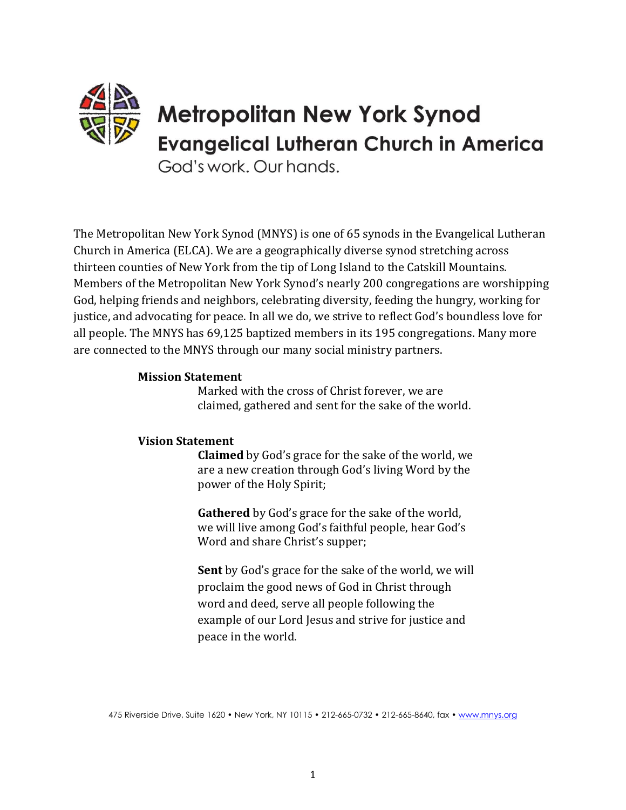

God's work, Our hands.

The Metropolitan New York Synod (MNYS) is one of 65 synods in the Evangelical Lutheran Church in America (ELCA). We are a geographically diverse synod stretching across thirteen counties of New York from the tip of Long Island to the Catskill Mountains. Members of the Metropolitan New York Synod's nearly 200 congregations are worshipping God, helping friends and neighbors, celebrating diversity, feeding the hungry, working for justice, and advocating for peace. In all we do, we strive to reflect God's boundless love for all people. The MNYS has 69,125 baptized members in its 195 congregations. Many more are connected to the MNYS through our many social ministry partners.

#### **Mission Statement**

Marked with the cross of Christ forever, we are claimed, gathered and sent for the sake of the world.

#### **Vision Statement**

**Claimed** by God's grace for the sake of the world, we are a new creation through God's living Word by the power of the Holy Spirit;

**Gathered** by God's grace for the sake of the world, we will live among God's faithful people, hear God's Word and share Christ's supper;

**Sent** by God's grace for the sake of the world, we will proclaim the good news of God in Christ through word and deed, serve all people following the example of our Lord Jesus and strive for justice and peace in the world.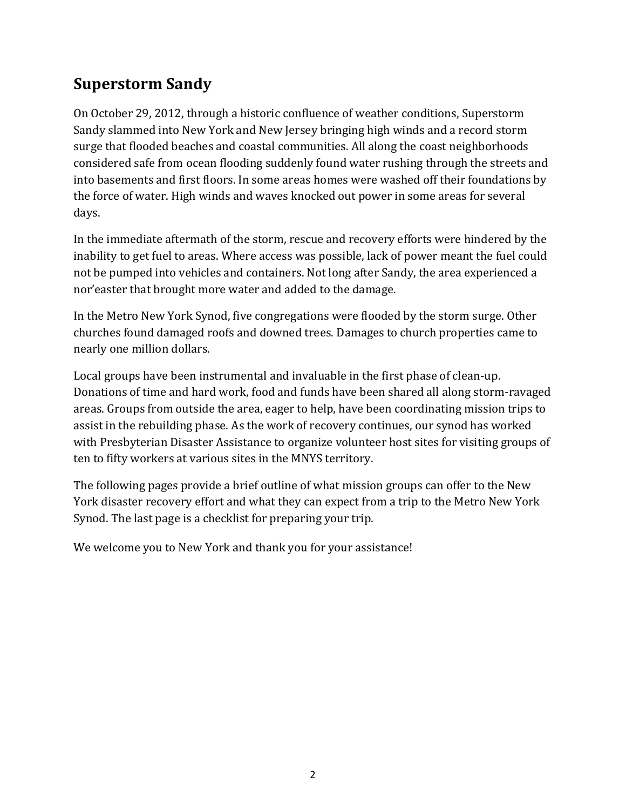# **Superstorm Sandy**

On October 29, 2012, through a historic confluence of weather conditions, Superstorm Sandy slammed into New York and New Jersey bringing high winds and a record storm surge that flooded beaches and coastal communities. All along the coast neighborhoods considered safe from ocean flooding suddenly found water rushing through the streets and into basements and first floors. In some areas homes were washed off their foundations by the force of water. High winds and waves knocked out power in some areas for several days.

In the immediate aftermath of the storm, rescue and recovery efforts were hindered by the inability to get fuel to areas. Where access was possible, lack of power meant the fuel could not be pumped into vehicles and containers. Not long after Sandy, the area experienced a nor'easter that brought more water and added to the damage.

In the Metro New York Synod, five congregations were flooded by the storm surge. Other churches found damaged roofs and downed trees. Damages to church properties came to nearly one million dollars.

Local groups have been instrumental and invaluable in the first phase of clean-up. Donations of time and hard work, food and funds have been shared all along storm-ravaged areas. Groups from outside the area, eager to help, have been coordinating mission trips to assist in the rebuilding phase. As the work of recovery continues, our synod has worked with Presbyterian Disaster Assistance to organize volunteer host sites for visiting groups of ten to fifty workers at various sites in the MNYS territory.

The following pages provide a brief outline of what mission groups can offer to the New York disaster recovery effort and what they can expect from a trip to the Metro New York Synod. The last page is a checklist for preparing your trip.

We welcome you to New York and thank you for your assistance!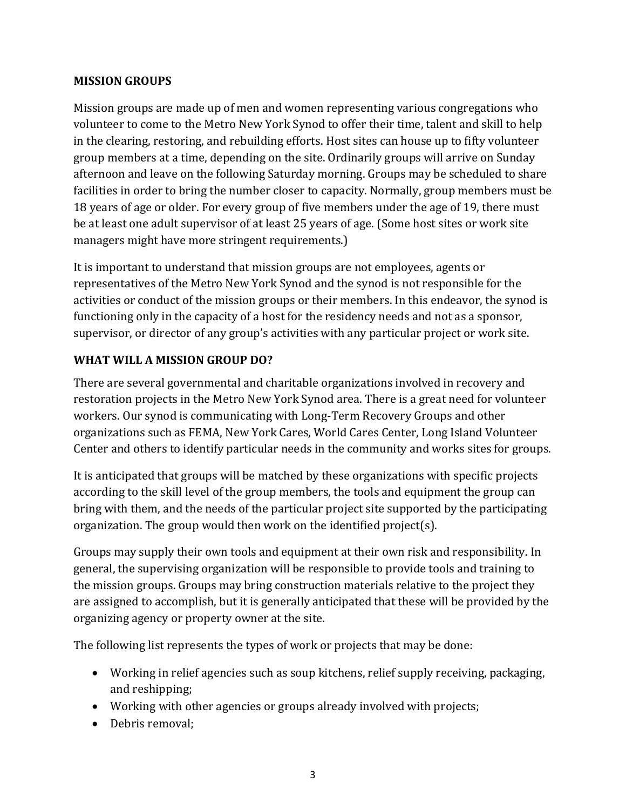#### **MISSION GROUPS**

Mission groups are made up of men and women representing various congregations who volunteer to come to the Metro New York Synod to offer their time, talent and skill to help in the clearing, restoring, and rebuilding efforts. Host sites can house up to fifty volunteer group members at a time, depending on the site. Ordinarily groups will arrive on Sunday afternoon and leave on the following Saturday morning. Groups may be scheduled to share facilities in order to bring the number closer to capacity. Normally, group members must be 18 years of age or older. For every group of five members under the age of 19, there must be at least one adult supervisor of at least 25 years of age. (Some host sites or work site managers might have more stringent requirements.)

It is important to understand that mission groups are not employees, agents or representatives of the Metro New York Synod and the synod is not responsible for the activities or conduct of the mission groups or their members. In this endeavor, the synod is functioning only in the capacity of a host for the residency needs and not as a sponsor, supervisor, or director of any group's activities with any particular project or work site.

## **WHAT WILL A MISSION GROUP DO?**

There are several governmental and charitable organizations involved in recovery and restoration projects in the Metro New York Synod area. There is a great need for volunteer workers. Our synod is communicating with Long-Term Recovery Groups and other organizations such as FEMA, New York Cares, World Cares Center, Long Island Volunteer Center and others to identify particular needs in the community and works sites for groups.

It is anticipated that groups will be matched by these organizations with specific projects according to the skill level of the group members, the tools and equipment the group can bring with them, and the needs of the particular project site supported by the participating organization. The group would then work on the identified project(s).

Groups may supply their own tools and equipment at their own risk and responsibility. In general, the supervising organization will be responsible to provide tools and training to the mission groups. Groups may bring construction materials relative to the project they are assigned to accomplish, but it is generally anticipated that these will be provided by the organizing agency or property owner at the site.

The following list represents the types of work or projects that may be done:

- Working in relief agencies such as soup kitchens, relief supply receiving, packaging, and reshipping;
- Working with other agencies or groups already involved with projects;
- Debris removal: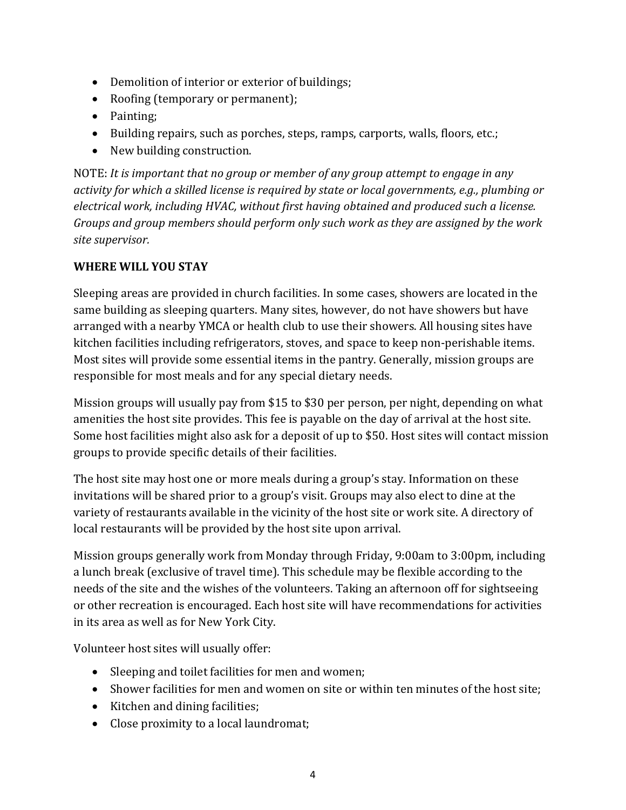- Demolition of interior or exterior of buildings;
- Roofing (temporary or permanent);
- Painting:
- Building repairs, such as porches, steps, ramps, carports, walls, floors, etc.;
- New building construction.

NOTE: *It is important that no group or member of any group attempt to engage in any activity for which a skilled license is required by state or local governments, e.g., plumbing or electrical work, including HVAC, without first having obtained and produced such a license. Groups and group members should perform only such work as they are assigned by the work site supervisor.*

## **WHERE WILL YOU STAY**

Sleeping areas are provided in church facilities. In some cases, showers are located in the same building as sleeping quarters. Many sites, however, do not have showers but have arranged with a nearby YMCA or health club to use their showers. All housing sites have kitchen facilities including refrigerators, stoves, and space to keep non-perishable items. Most sites will provide some essential items in the pantry. Generally, mission groups are responsible for most meals and for any special dietary needs.

Mission groups will usually pay from \$15 to \$30 per person, per night, depending on what amenities the host site provides. This fee is payable on the day of arrival at the host site. Some host facilities might also ask for a deposit of up to \$50. Host sites will contact mission groups to provide specific details of their facilities.

The host site may host one or more meals during a group's stay. Information on these invitations will be shared prior to a group's visit. Groups may also elect to dine at the variety of restaurants available in the vicinity of the host site or work site. A directory of local restaurants will be provided by the host site upon arrival.

Mission groups generally work from Monday through Friday, 9:00am to 3:00pm, including a lunch break (exclusive of travel time). This schedule may be flexible according to the needs of the site and the wishes of the volunteers. Taking an afternoon off for sightseeing or other recreation is encouraged. Each host site will have recommendations for activities in its area as well as for New York City.

Volunteer host sites will usually offer:

- Sleeping and toilet facilities for men and women;
- Shower facilities for men and women on site or within ten minutes of the host site;
- Kitchen and dining facilities;
- Close proximity to a local laundromat;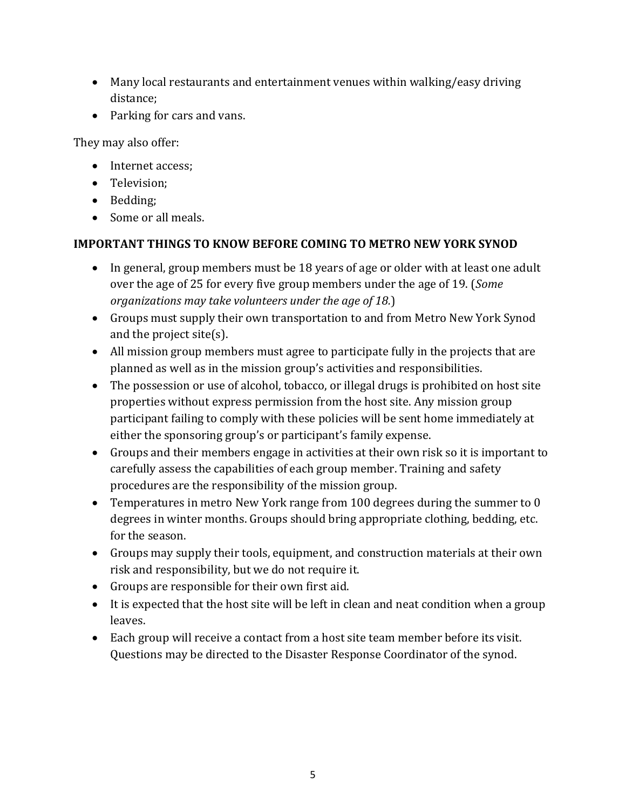- Many local restaurants and entertainment venues within walking/easy driving distance;
- Parking for cars and vans.

They may also offer:

- Internet access:
- Television:
- Bedding;
- Some or all meals.

## **IMPORTANT THINGS TO KNOW BEFORE COMING TO METRO NEW YORK SYNOD**

- In general, group members must be 18 years of age or older with at least one adult over the age of 25 for every five group members under the age of 19. (*Some organizations may take volunteers under the age of 18.*)
- Groups must supply their own transportation to and from Metro New York Synod and the project site(s).
- All mission group members must agree to participate fully in the projects that are planned as well as in the mission group's activities and responsibilities.
- The possession or use of alcohol, tobacco, or illegal drugs is prohibited on host site properties without express permission from the host site. Any mission group participant failing to comply with these policies will be sent home immediately at either the sponsoring group's or participant's family expense.
- Groups and their members engage in activities at their own risk so it is important to carefully assess the capabilities of each group member. Training and safety procedures are the responsibility of the mission group.
- Temperatures in metro New York range from 100 degrees during the summer to 0 degrees in winter months. Groups should bring appropriate clothing, bedding, etc. for the season.
- Groups may supply their tools, equipment, and construction materials at their own risk and responsibility, but we do not require it.
- Groups are responsible for their own first aid.
- It is expected that the host site will be left in clean and neat condition when a group leaves.
- Each group will receive a contact from a host site team member before its visit. Questions may be directed to the Disaster Response Coordinator of the synod.